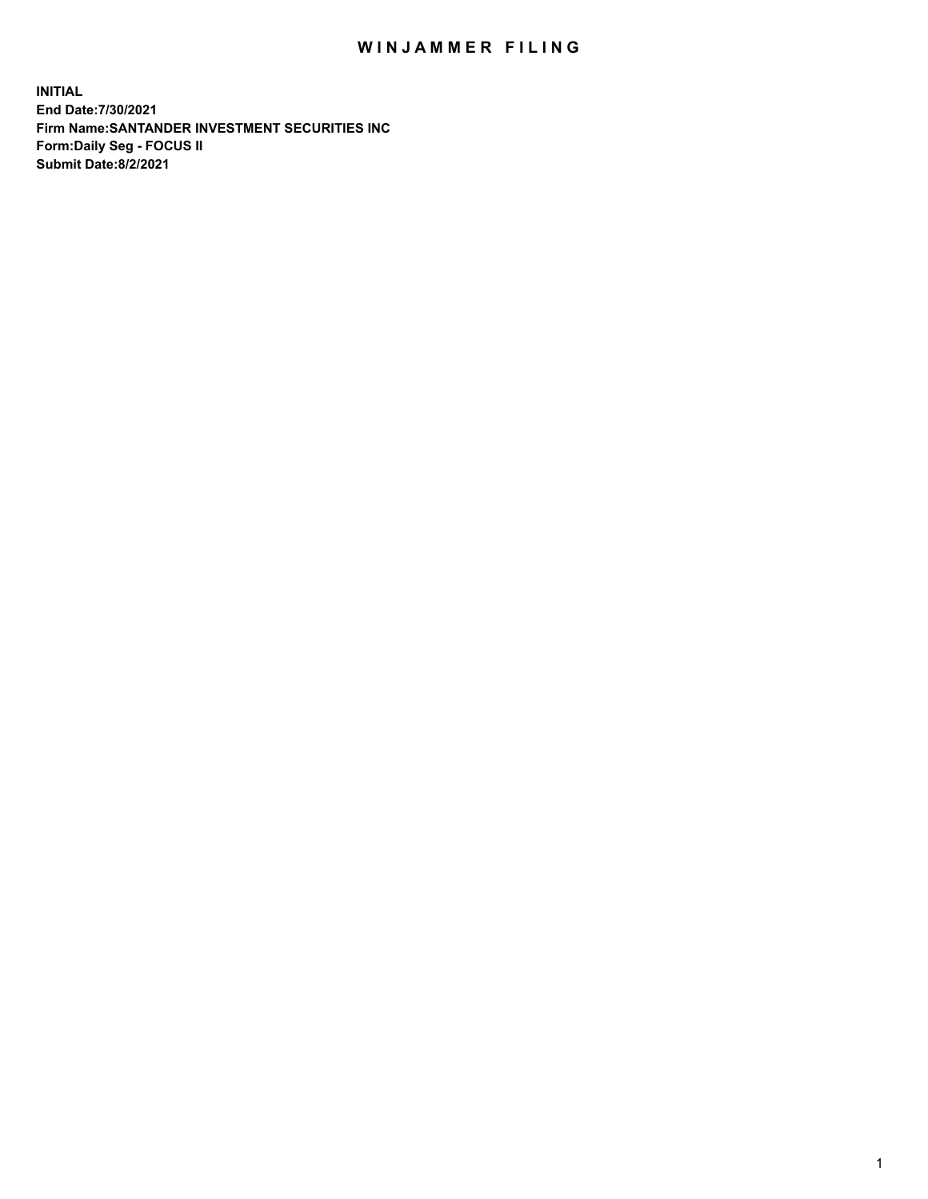## WIN JAMMER FILING

**INITIAL End Date:7/30/2021 Firm Name:SANTANDER INVESTMENT SECURITIES INC Form:Daily Seg - FOCUS II Submit Date:8/2/2021**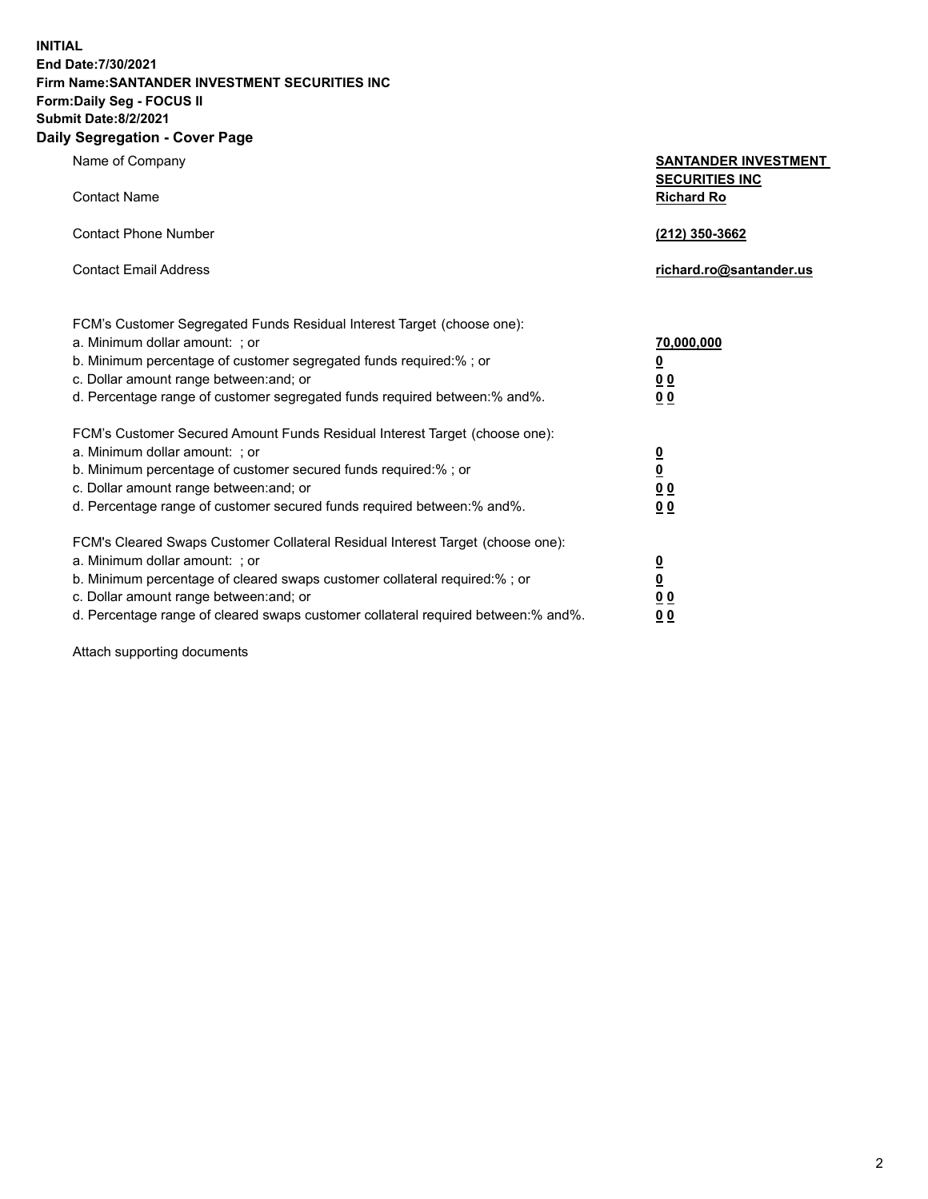**INITIAL End Date:7/30/2021 Firm Name:SANTANDER INVESTMENT SECURITIES INC Form:Daily Seg - FOCUS II Submit Date:8/2/2021**

## **Daily Segregation - Cover Page**

| Name of Company                                                            | <b>SANTANDER INVESTMENT</b> |  |
|----------------------------------------------------------------------------|-----------------------------|--|
|                                                                            | <b>SECURITIES INC</b>       |  |
| Contact Name                                                               | <b>Richard Ro</b>           |  |
| <b>Contact Phone Number</b>                                                | (212) 350-3662              |  |
|                                                                            |                             |  |
| <b>Contact Email Address</b>                                               | richard.ro@santander.us     |  |
|                                                                            |                             |  |
| FCM's Customer Segregated Funds Residual Interest Target (choose one):     |                             |  |
| a. Minimum dollar amount:  ; or                                            | 70,000,000                  |  |
| b. Minimum percentage of customer segregated funds required:% ; or         | <u>0</u>                    |  |
| c. Dollar amount range between: and; or                                    | 0 <sub>0</sub>              |  |
| d. Percentage range of customer segregated funds reguired between:% and%.  | 0 <sub>0</sub>              |  |
| FCM's Customer Secured Amount Funds Residual Interest Target (choose one): |                             |  |
| a. Minimum dollar amount:  ; or                                            | $\overline{\mathbf{0}}$     |  |
| b. Minimum percentage of customer secured funds required:% ; or            | <u>0</u>                    |  |

c. Dollar amount range between:and; or **0 0** d. Percentage range of customer secured funds required between:% and%. **0 0** FCM's Cleared Swaps Customer Collateral Residual Interest Target (choose one): a. Minimum dollar amount: ; or **0**

b. Minimum percentage of cleared swaps customer collateral required:% ; or **0** c. Dollar amount range between:and; or **0 0** d. Percentage range of cleared swaps customer collateral required between:% and%. **0 0**

Attach supporting documents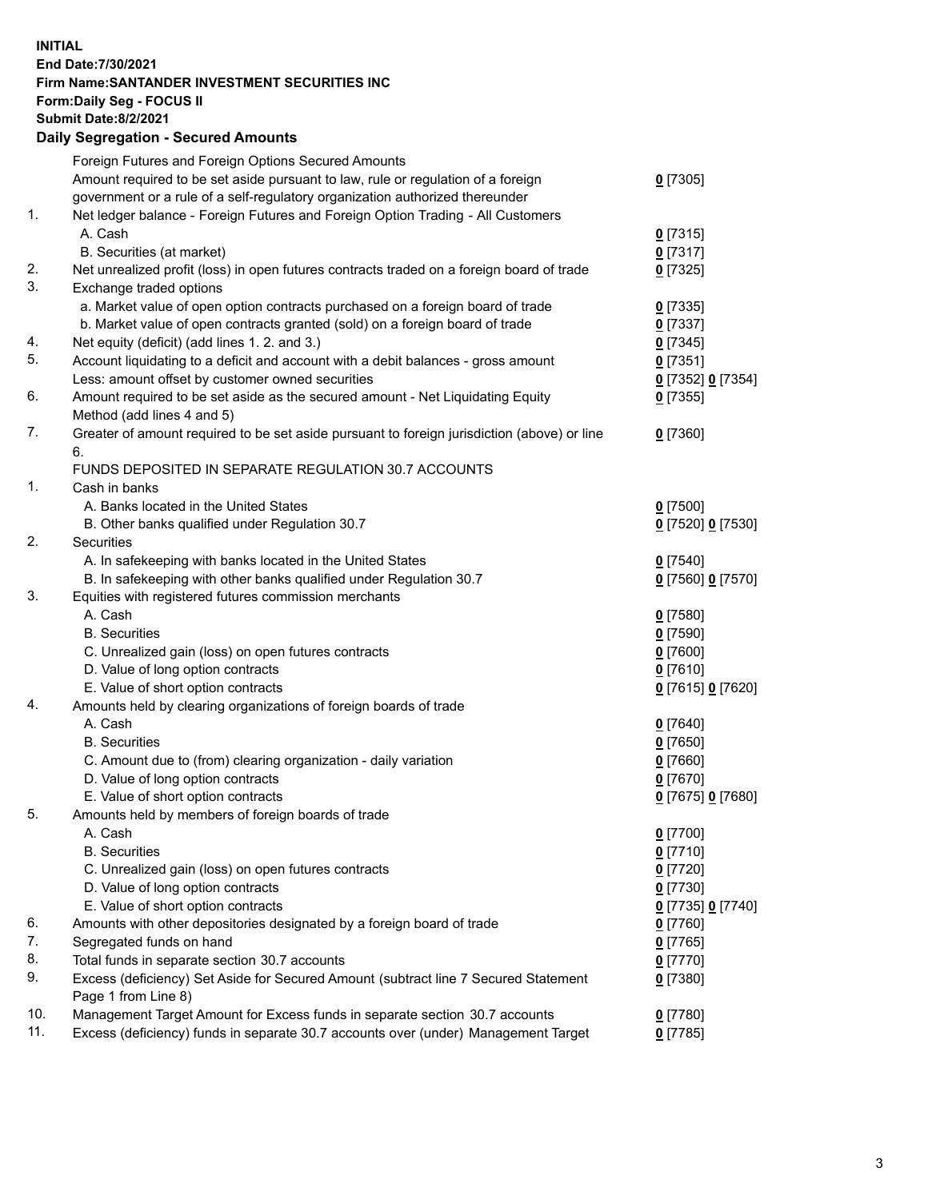## **INITIAL End Date:7/30/2021 Firm Name:SANTANDER INVESTMENT SECURITIES INC Form:Daily Seg - FOCUS II Submit Date:8/2/2021 Daily Segregation - Secured Amounts** Foreign Futures and Foreign Options Secured Amounts Amount required to be set aside pursuant to law, rule or regulation of a foreign government or a rule of a self-regulatory organization authorized thereunder 1. Net ledger balance - Foreign Futures and Foreign Option Trading - All Customers A. Cash **0** [7315] B. Securities (at market) **0** [7317] 2. Net unrealized profit (loss) in open futures contracts traded on a foreign board of trade **0** [7325] 3. Exchange traded options

| 6.  | Amount required to be set aside as the secured amount - Net Liquidating Equity<br>Method (add lines 4 and 5) | $0$ [7355]        |
|-----|--------------------------------------------------------------------------------------------------------------|-------------------|
| 7.  | Greater of amount required to be set aside pursuant to foreign jurisdiction (above) or line                  | $0$ [7360]        |
|     | 6.                                                                                                           |                   |
|     | FUNDS DEPOSITED IN SEPARATE REGULATION 30.7 ACCOUNTS                                                         |                   |
| 1.  | Cash in banks                                                                                                |                   |
|     | A. Banks located in the United States                                                                        | $0$ [7500]        |
|     | B. Other banks qualified under Regulation 30.7                                                               | 0 [7520] 0 [7530] |
| 2.  | <b>Securities</b>                                                                                            |                   |
|     | A. In safekeeping with banks located in the United States                                                    | $0$ [7540]        |
|     | B. In safekeeping with other banks qualified under Regulation 30.7                                           | 0 [7560] 0 [7570] |
| 3.  | Equities with registered futures commission merchants                                                        |                   |
|     | A. Cash                                                                                                      | $0$ [7580]        |
|     | <b>B.</b> Securities                                                                                         | $0$ [7590]        |
|     | C. Unrealized gain (loss) on open futures contracts                                                          | $0$ [7600]        |
|     | D. Value of long option contracts                                                                            | $0$ [7610]        |
|     | E. Value of short option contracts                                                                           | 0 [7615] 0 [7620] |
| 4.  | Amounts held by clearing organizations of foreign boards of trade                                            |                   |
|     | A. Cash                                                                                                      | $0$ [7640]        |
|     | <b>B.</b> Securities                                                                                         | <u>0</u> [7650]   |
|     | C. Amount due to (from) clearing organization - daily variation                                              | $0$ [7660]        |
|     | D. Value of long option contracts                                                                            | $0$ [7670]        |
|     | E. Value of short option contracts                                                                           | 0 [7675] 0 [7680] |
| 5.  | Amounts held by members of foreign boards of trade                                                           |                   |
|     | A. Cash                                                                                                      | $0$ [7700]        |
|     | <b>B.</b> Securities                                                                                         | $0$ [7710]        |
|     | C. Unrealized gain (loss) on open futures contracts                                                          | $0$ [7720]        |
|     | D. Value of long option contracts                                                                            | $0$ [7730]        |
|     | E. Value of short option contracts                                                                           | 0 [7735] 0 [7740] |
| 6.  | Amounts with other depositories designated by a foreign board of trade                                       | $0$ [7760]        |
| 7.  | Segregated funds on hand                                                                                     | $0$ [7765]        |
| 8.  | Total funds in separate section 30.7 accounts                                                                | 0 [7770]          |
| 9.  | Excess (deficiency) Set Aside for Secured Amount (subtract line 7 Secured Statement                          | $0$ [7380]        |
|     | Page 1 from Line 8)                                                                                          |                   |
| 10. | Management Target Amount for Excess funds in separate section 30.7 accounts                                  | $0$ [7780]        |
| 11. | Excess (deficiency) funds in separate 30.7 accounts over (under) Management Target                           | $0$ [7785]        |
|     |                                                                                                              |                   |

 a. Market value of open option contracts purchased on a foreign board of trade **0** [7335] b. Market value of open contracts granted (sold) on a foreign board of trade **0** [7337]

Less: amount offset by customer owned securities **0** [7352] **0** [7354]

4. Net equity (deficit) (add lines 1. 2. and 3.) **0** [7345] 5. Account liquidating to a deficit and account with a debit balances - gross amount **0** [7351]

**0** [7305]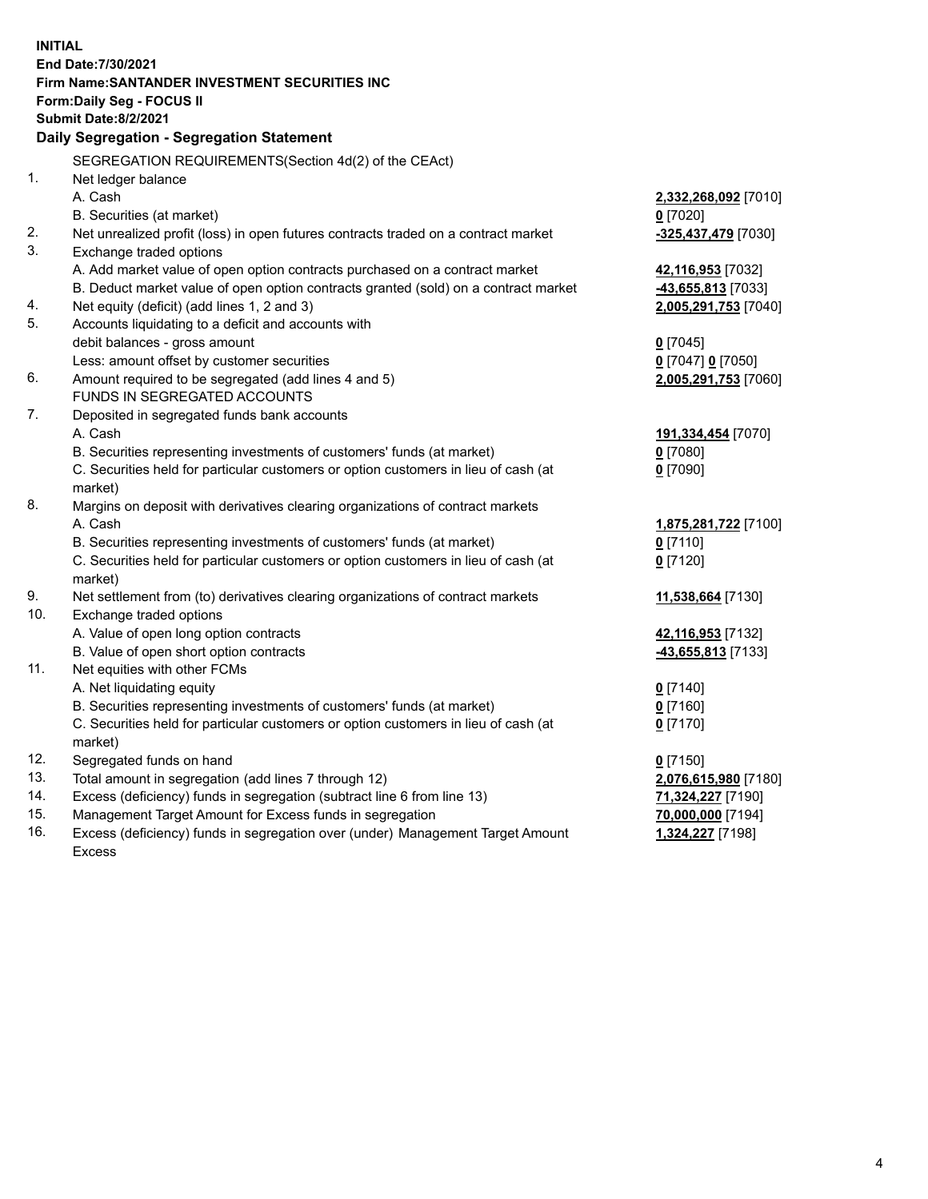| <b>INITIAL</b> |                                                                                     |                      |
|----------------|-------------------------------------------------------------------------------------|----------------------|
|                | End Date: 7/30/2021                                                                 |                      |
|                | Firm Name: SANTANDER INVESTMENT SECURITIES INC                                      |                      |
|                | Form: Daily Seg - FOCUS II                                                          |                      |
|                | <b>Submit Date:8/2/2021</b>                                                         |                      |
|                | Daily Segregation - Segregation Statement                                           |                      |
|                | SEGREGATION REQUIREMENTS(Section 4d(2) of the CEAct)                                |                      |
| 1.             | Net ledger balance                                                                  |                      |
|                | A. Cash                                                                             | 2,332,268,092 [7010] |
|                | B. Securities (at market)                                                           | $0$ [7020]           |
| 2.             | Net unrealized profit (loss) in open futures contracts traded on a contract market  | -325,437,479 [7030]  |
| 3.             | Exchange traded options                                                             |                      |
|                | A. Add market value of open option contracts purchased on a contract market         | 42,116,953 [7032]    |
|                | B. Deduct market value of open option contracts granted (sold) on a contract market | 43,655,813 [7033]    |
| 4.             | Net equity (deficit) (add lines 1, 2 and 3)                                         | 2,005,291,753 [7040] |
| 5.             | Accounts liquidating to a deficit and accounts with                                 |                      |
|                | debit balances - gross amount                                                       | $0$ [7045]           |
|                | Less: amount offset by customer securities                                          | 0 [7047] 0 [7050]    |
| 6.             | Amount required to be segregated (add lines 4 and 5)                                | 2,005,291,753 [7060] |
|                | FUNDS IN SEGREGATED ACCOUNTS                                                        |                      |
| 7.             | Deposited in segregated funds bank accounts                                         |                      |
|                | A. Cash                                                                             | 191,334,454 [7070]   |
|                | B. Securities representing investments of customers' funds (at market)              | $0$ [7080]           |
|                | C. Securities held for particular customers or option customers in lieu of cash (at | $0$ [7090]           |
|                | market)                                                                             |                      |
| 8.             | Margins on deposit with derivatives clearing organizations of contract markets      |                      |
|                | A. Cash                                                                             | 1,875,281,722 [7100] |
|                | B. Securities representing investments of customers' funds (at market)              | $0$ [7110]           |
|                | C. Securities held for particular customers or option customers in lieu of cash (at | $0$ [7120]           |
|                | market)                                                                             |                      |
| 9.             | Net settlement from (to) derivatives clearing organizations of contract markets     | 11,538,664 [7130]    |
| 10.            | Exchange traded options                                                             |                      |
|                | A. Value of open long option contracts                                              | 42,116,953 [7132]    |
|                | B. Value of open short option contracts                                             | 43,655,813 [7133]    |
| 11.            | Net equities with other FCMs                                                        |                      |
|                | A. Net liquidating equity                                                           | $0$ [7140]           |
|                | B. Securities representing investments of customers' funds (at market)              | $0$ [7160]           |
|                | C. Securities held for particular customers or option customers in lieu of cash (at | $0$ [7170]           |
|                | market)                                                                             |                      |
| 12.            | Segregated funds on hand                                                            | $0$ [7150]           |
| 13.            | Total amount in segregation (add lines 7 through 12)                                | 2,076,615,980 [7180] |
| 14.            | Excess (deficiency) funds in segregation (subtract line 6 from line 13)             | 71,324,227 [7190]    |
| 15.            | Management Target Amount for Excess funds in segregation                            | 70,000,000 [7194]    |
| 16.            | Excess (deficiency) funds in segregation over (under) Management Target Amount      | 1,324,227 [7198]     |
|                | <b>Excess</b>                                                                       |                      |